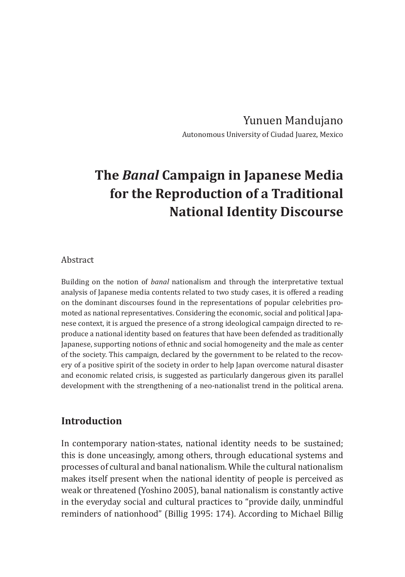Yunuen Mandujano Autonomous University of Ciudad Juarez, Mexico

# **The** *Banal* **Campaign in Japanese Media for the Reproduction of a Traditional National Identity Discourse**

#### Abstract

Building on the notion of *banal* nationalism and through the interpretative textual analysis of Japanese media contents related to two study cases, it is offered a reading on the dominant discourses found in the representations of popular celebrities promoted as national representatives. Considering the economic, social and political Japanese context, it is argued the presence of a strong ideological campaign directed to reproduce a national identity based on features that have been defended as traditionally Japanese, supporting notions of ethnic and social homogeneity and the male as center of the society. This campaign, declared by the government to be related to the recovery of a positive spirit of the society in order to help Japan overcome natural disaster and economic related crisis, is suggested as particularly dangerous given its parallel development with the strengthening of a neo-nationalist trend in the political arena.

### **Introduction**

In contemporary nation-states, national identity needs to be sustained; this is done unceasingly, among others, through educational systems and processes of cultural and banal nationalism. While the cultural nationalism makes itself present when the national identity of people is perceived as weak or threatened (Yoshino 2005), banal nationalism is constantly active in the everyday social and cultural practices to "provide daily, unmindful reminders of nationhood" (Billig 1995: 174). According to Michael Billig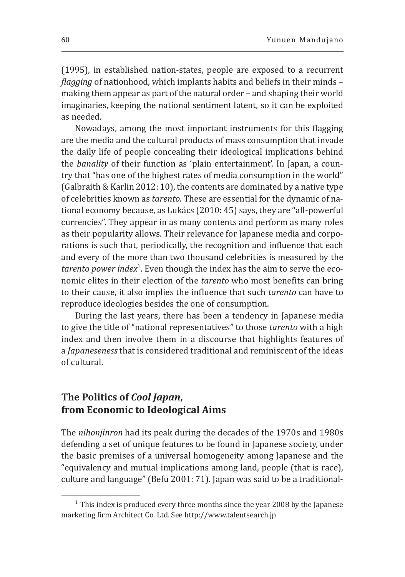(1995), in established nation-states, people are exposed to a recurrent *flagging* of nationhood, which implants habits and beliefs in their minds – making them appear as part of the natural order – and shaping their world imaginaries, keeping the national sentiment latent, so it can be exploited as needed.

Nowadays, among the most important instruments for this flagging are the media and the cultural products of mass consumption that invade the daily life of people concealing their ideological implications behind the *banality* of their function as 'plain entertainment'. In Japan, a country that "has one of the highest rates of media consumption in the world" (Galbraith & Karlin 2012: 10), the contents are dominated by a native type of celebrities known as *tarento.* These are essential for the dynamic of national economy because, as Lukács (2010: 45) says, they are "all-powerful currencies". They appear in as many contents and perform as many roles as their popularity allows. Their relevance for Japanese media and corporations is such that, periodically, the recognition and influence that each and every of the more than two thousand celebrities is measured by the *tarento power index*<sup>1</sup> *.* Even though the index has the aim to serve the economic elites in their election of the *tarento* who most benefits can bring to their cause, it also implies the influence that such *tarento* can have to reproduce ideologies besides the one of consumption.

During the last years, there has been a tendency in Japanese media to give the title of "national representatives" to those *tarento* with a high index and then involve them in a discourse that highlights features of a *Japaneseness* that is considered traditional and reminiscent of the ideas of cultural.

## **The Politics of** *Cool Japan***, from Economic to Ideological Aims**

The *nihonjinron* had its peak during the decades of the 1970s and 1980s defending a set of unique features to be found in Japanese society, under the basic premises of a universal homogeneity among Japanese and the "equivalency and mutual implications among land, people (that is race), culture and language" (Befu 2001: 71). Japan was said to be a traditional-

 $1$  This index is produced every three months since the year 2008 by the Japanese marketing firm Architect Co. Ltd. See http://www.talentsearch.jp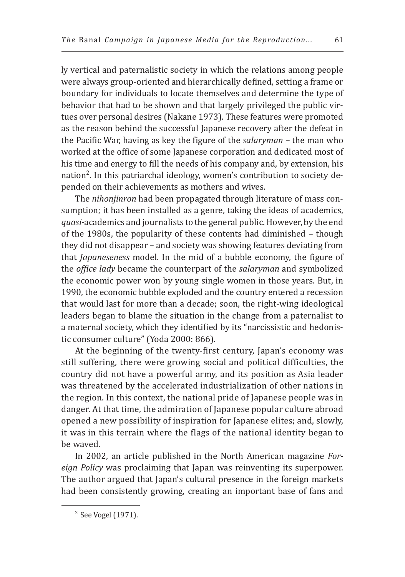ly vertical and paternalistic society in which the relations among people were always group-oriented and hierarchically defined, setting a frame or boundary for individuals to locate themselves and determine the type of behavior that had to be shown and that largely privileged the public virtues over personal desires (Nakane 1973). These features were promoted as the reason behind the successful Japanese recovery after the defeat in the Pacific War, having as key the figure of the *salaryman –* the man who worked at the office of some Japanese corporation and dedicated most of his time and energy to fill the needs of his company and, by extension, his nation<sup>2</sup>. In this patriarchal ideology, women's contribution to society depended on their achievements as mothers and wives.

The *nihonjinron* had been propagated through literature of mass consumption; it has been installed as a genre, taking the ideas of academics, *quasi-*academics and journalists to the general public. However, by the end of the 1980s, the popularity of these contents had diminished – though they did not disappear – and society was showing features deviating from that *Japaneseness* model. In the mid of a bubble economy, the figure of the *office lady* became the counterpart of the *salaryman* and symbolized the economic power won by young single women in those years. But, in 1990, the economic bubble exploded and the country entered a recession that would last for more than a decade; soon, the right-wing ideological leaders began to blame the situation in the change from a paternalist to a maternal society, which they identified by its "narcissistic and hedonistic consumer culture" (Yoda 2000: 866).

At the beginning of the twenty-first century, Japan's economy was still suffering, there were growing social and political difficulties, the country did not have a powerful army, and its position as Asia leader was threatened by the accelerated industrialization of other nations in the region. In this context, the national pride of Japanese people was in danger. At that time, the admiration of Japanese popular culture abroad opened a new possibility of inspiration for Japanese elites; and, slowly, it was in this terrain where the flags of the national identity began to be waved.

In 2002, an article published in the North American magazine *Foreign Policy* was proclaiming that Japan was reinventing its superpower. The author argued that Japan's cultural presence in the foreign markets had been consistently growing, creating an important base of fans and

<sup>2</sup> See Vogel (1971).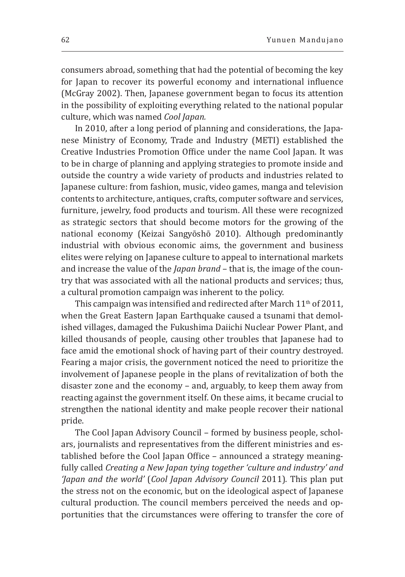consumers abroad, something that had the potential of becoming the key for Japan to recover its powerful economy and international influence (McGray 2002). Then, Japanese government began to focus its attention in the possibility of exploiting everything related to the national popular culture, which was named *Cool Japan.* 

In 2010, after a long period of planning and considerations, the Japanese Ministry of Economy, Trade and Industry (METI) established the Creative Industries Promotion Office under the name Cool Japan. It was to be in charge of planning and applying strategies to promote inside and outside the country a wide variety of products and industries related to Japanese culture: from fashion, music, video games, manga and television contents to architecture, antiques, crafts, computer software and services, furniture, jewelry, food products and tourism. All these were recognized as strategic sectors that should become motors for the growing of the national economy (Keizai Sangyōshō 2010). Although predominantly industrial with obvious economic aims, the government and business elites were relying on Japanese culture to appeal to international markets and increase the value of the *Japan brand* – that is, the image of the country that was associated with all the national products and services; thus, a cultural promotion campaign was inherent to the policy.

This campaign was intensified and redirected after March 11<sup>th</sup> of 2011, when the Great Eastern Japan Earthquake caused a tsunami that demolished villages, damaged the Fukushima Daiichi Nuclear Power Plant, and killed thousands of people, causing other troubles that Japanese had to face amid the emotional shock of having part of their country destroyed. Fearing a major crisis, the government noticed the need to prioritize the involvement of Japanese people in the plans of revitalization of both the disaster zone and the economy – and, arguably, to keep them away from reacting against the government itself. On these aims, it became crucial to strengthen the national identity and make people recover their national pride.

The Cool Japan Advisory Council – formed by business people, scholars, journalists and representatives from the different ministries and established before the Cool Japan Office – announced a strategy meaningfully called *Creating a New Japan tying together 'culture and industry' and 'Japan and the world'* (*Cool Japan Advisory Council* 2011)*.* This plan put the stress not on the economic, but on the ideological aspect of Japanese cultural production. The council members perceived the needs and opportunities that the circumstances were offering to transfer the core of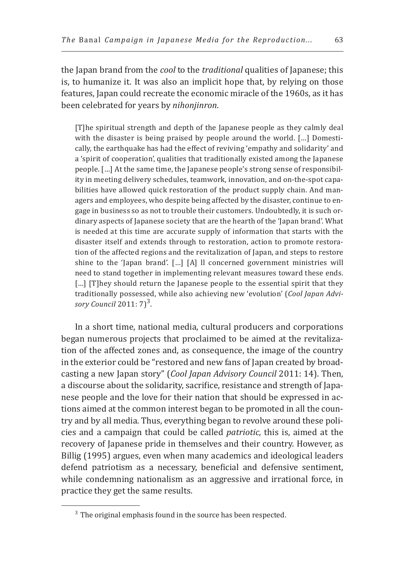the Japan brand from the *cool* to the *traditional* qualities of Japanese; this is, to humanize it. It was also an implicit hope that, by relying on those features, Japan could recreate the economic miracle of the 1960s, as it has been celebrated for years by *nihonjinron*.

[T]he spiritual strength and depth of the Japanese people as they calmly deal with the disaster is being praised by people around the world. [...] Domestically, the earthquake has had the effect of reviving 'empathy and solidarity' and a 'spirit of cooperation', qualities that traditionally existed among the Japanese people. […] At the same time, the Japanese people's strong sense of responsibility in meeting delivery schedules, teamwork, innovation, and on-the-spot capabilities have allowed quick restoration of the product supply chain. And managers and employees, who despite being affected by the disaster, continue to engage in business so as not to trouble their customers. Undoubtedly, it is such ordinary aspects of Japanese society that are the hearth of the 'Japan brand'. What is needed at this time are accurate supply of information that starts with the disaster itself and extends through to restoration, action to promote restoration of the affected regions and the revitalization of Japan, and steps to restore shine to the 'Japan brand'. […] [A] ll concerned government ministries will need to stand together in implementing relevant measures toward these ends. [...] [T]hey should return the Japanese people to the essential spirit that they traditionally possessed, while also achieving new 'evolution' (*Cool Japan Advi*sory Council 2011: 7)<sup>3</sup>.

In a short time, national media, cultural producers and corporations began numerous projects that proclaimed to be aimed at the revitalization of the affected zones and, as consequence, the image of the country in the exterior could be "restored and new fans of Japan created by broadcasting a new Japan story" (*Cool Japan Advisory Council* 2011: 14). Then, a discourse about the solidarity, sacrifice, resistance and strength of Japanese people and the love for their nation that should be expressed in actions aimed at the common interest began to be promoted in all the country and by all media. Thus, everything began to revolve around these policies and a campaign that could be called *patriotic,* this is, aimed at the recovery of Japanese pride in themselves and their country. However, as Billig (1995) argues, even when many academics and ideological leaders defend patriotism as a necessary, beneficial and defensive sentiment, while condemning nationalism as an aggressive and irrational force, in practice they get the same results.

 $3$  The original emphasis found in the source has been respected.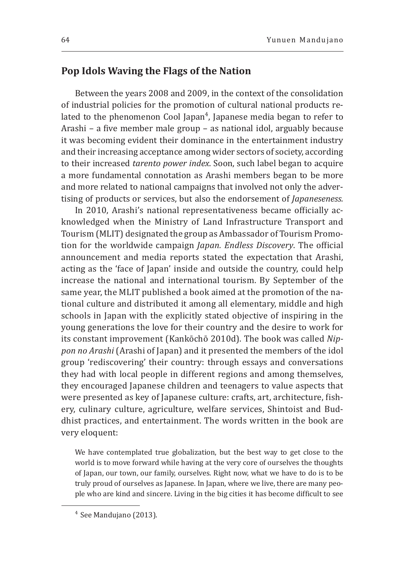## **Pop Idols Waving the Flags of the Nation**

Between the years 2008 and 2009, in the context of the consolidation of industrial policies for the promotion of cultural national products related to the phenomenon Cool Japan<sup>4</sup>, Japanese media began to refer to Arashi – a five member male group – as national idol, arguably because it was becoming evident their dominance in the entertainment industry and their increasing acceptance among wider sectors of society, according to their increased *tarento power index*. Soon, such label began to acquire a more fundamental connotation as Arashi members began to be more and more related to national campaigns that involved not only the advertising of products or services, but also the endorsement of *Japaneseness.* 

In 2010, Arashi's national representativeness became officially acknowledged when the Ministry of Land Infrastructure Transport and Tourism (MLIT) designated the group as Ambassador of Tourism Promotion for the worldwide campaign *Japan. Endless Discovery*. The official announcement and media reports stated the expectation that Arashi, acting as the 'face of Japan' inside and outside the country, could help increase the national and international tourism. By September of the same year, the MLIT published a book aimed at the promotion of the national culture and distributed it among all elementary, middle and high schools in Japan with the explicitly stated objective of inspiring in the young generations the love for their country and the desire to work for its constant improvement (Kankōchō 2010d). The book was called *Nippon no Arashi* (Arashi of Japan) and it presented the members of the idol group 'rediscovering' their country: through essays and conversations they had with local people in different regions and among themselves, they encouraged Japanese children and teenagers to value aspects that were presented as key of Japanese culture: crafts, art, architecture, fishery, culinary culture, agriculture, welfare services, Shintoist and Buddhist practices, and entertainment. The words written in the book are very eloquent:

We have contemplated true globalization, but the best way to get close to the world is to move forward while having at the very core of ourselves the thoughts of Japan, our town, our family, ourselves. Right now, what we have to do is to be truly proud of ourselves as Japanese. In Japan, where we live, there are many people who are kind and sincere. Living in the big cities it has become difficult to see

<sup>4</sup> See Mandujano (2013).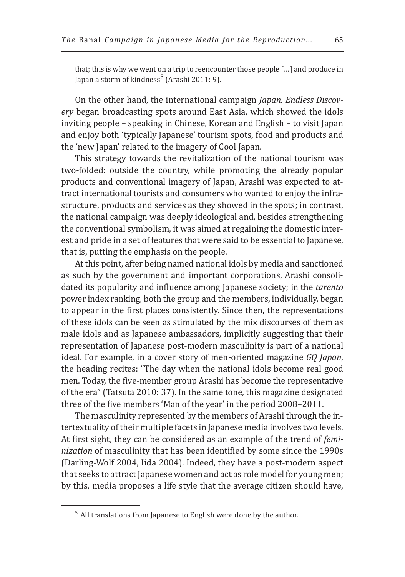that; this is why we went on a trip to reencounter those people […] and produce in Japan a storm of kindness<sup>5</sup> (Arashi 2011: 9).

On the other hand, the international campaign *Japan. Endless Discovery* began broadcasting spots around East Asia, which showed the idols inviting people – speaking in Chinese, Korean and English – to visit Japan and enjoy both 'typically Japanese' tourism spots, food and products and the 'new Japan' related to the imagery of Cool Japan.

This strategy towards the revitalization of the national tourism was two-folded: outside the country, while promoting the already popular products and conventional imagery of Japan, Arashi was expected to attract international tourists and consumers who wanted to enjoy the infrastructure, products and services as they showed in the spots; in contrast, the national campaign was deeply ideological and, besides strengthening the conventional symbolism, it was aimed at regaining the domestic interest and pride in a set of features that were said to be essential to Japanese, that is, putting the emphasis on the people.

At this point, after being named national idols by media and sanctioned as such by the government and important corporations, Arashi consolidated its popularity and influence among Japanese society; in the *tarento*  power index ranking*,* both the group and the members, individually, began to appear in the first places consistently. Since then, the representations of these idols can be seen as stimulated by the mix discourses of them as male idols and as Japanese ambassadors, implicitly suggesting that their representation of Japanese post-modern masculinity is part of a national ideal. For example, in a cover story of men-oriented magazine *GQ Japan*, the heading recites: "The day when the national idols become real good men. Today, the five-member group Arashi has become the representative of the era" (Tatsuta 2010: 37). In the same tone, this magazine designated three of the five members 'Man of the year' in the period 2008–2011.

The masculinity represented by the members of Arashi through the intertextuality of their multiple facets in Japanese media involves two levels. At first sight, they can be considered as an example of the trend of *feminization* of masculinity that has been identified by some since the 1990s (Darling-Wolf 2004, Iida 2004)*.* Indeed, they have a post-modern aspect that seeks to attract Japanese women and act as role model for young men; by this, media proposes a life style that the average citizen should have,

 $5$  All translations from Japanese to English were done by the author.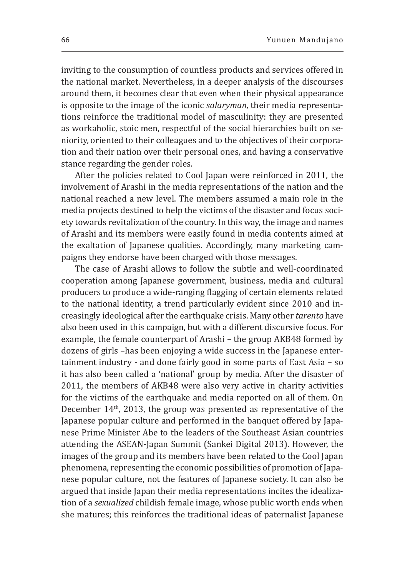inviting to the consumption of countless products and services offered in the national market. Nevertheless, in a deeper analysis of the discourses around them, it becomes clear that even when their physical appearance is opposite to the image of the iconic *salaryman,* their media representations reinforce the traditional model of masculinity: they are presented as workaholic, stoic men, respectful of the social hierarchies built on seniority, oriented to their colleagues and to the objectives of their corporation and their nation over their personal ones, and having a conservative stance regarding the gender roles.

After the policies related to Cool Japan were reinforced in 2011, the involvement of Arashi in the media representations of the nation and the national reached a new level. The members assumed a main role in the media projects destined to help the victims of the disaster and focus society towards revitalization of the country. In this way, the image and names of Arashi and its members were easily found in media contents aimed at the exaltation of Japanese qualities. Accordingly, many marketing campaigns they endorse have been charged with those messages.

The case of Arashi allows to follow the subtle and well-coordinated cooperation among Japanese government, business, media and cultural producers to produce a wide-ranging flagging of certain elements related to the national identity, a trend particularly evident since 2010 and increasingly ideological after the earthquake crisis. Many other *tarento* have also been used in this campaign, but with a different discursive focus. For example, the female counterpart of Arashi – the group AKB48 formed by dozens of girls –has been enjoying a wide success in the Japanese entertainment industry - and done fairly good in some parts of East Asia – so it has also been called a 'national' group by media. After the disaster of 2011, the members of AKB48 were also very active in charity activities for the victims of the earthquake and media reported on all of them. On December 14<sup>th</sup>, 2013, the group was presented as representative of the Japanese popular culture and performed in the banquet offered by Japanese Prime Minister Abe to the leaders of the Southeast Asian countries attending the ASEAN-Japan Summit (Sankei Digital 2013). However, the images of the group and its members have been related to the Cool Japan phenomena, representing the economic possibilities of promotion of Japanese popular culture, not the features of Japanese society. It can also be argued that inside Japan their media representations incites the idealization of a *sexualized* childish female image, whose public worth ends when she matures; this reinforces the traditional ideas of paternalist Japanese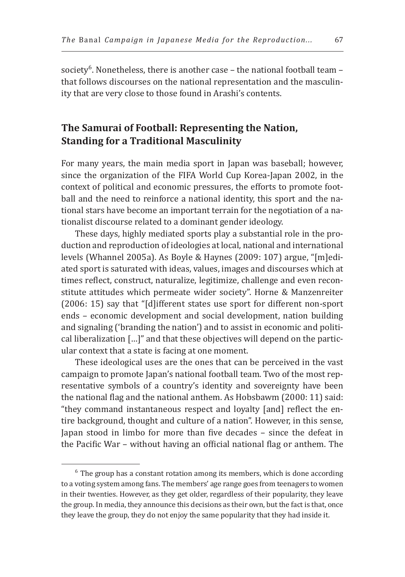society<sup>6</sup>. Nonetheless, there is another case – the national football team – that follows discourses on the national representation and the masculinity that are very close to those found in Arashi's contents.

# **The Samurai of Football: Representing the Nation, Standing for a Traditional Masculinity**

For many years, the main media sport in Japan was baseball; however, since the organization of the FIFA World Cup Korea-Japan 2002, in the context of political and economic pressures, the efforts to promote football and the need to reinforce a national identity, this sport and the national stars have become an important terrain for the negotiation of a nationalist discourse related to a dominant gender ideology.

These days, highly mediated sports play a substantial role in the production and reproduction of ideologies at local, national and international levels (Whannel 2005a). As Boyle & Haynes (2009: 107) argue, "[m]ediated sport is saturated with ideas, values, images and discourses which at times reflect, construct, naturalize, legitimize, challenge and even reconstitute attitudes which permeate wider society". Horne & Manzenreiter (2006: 15) say that "[d]ifferent states use sport for different non-sport ends – economic development and social development, nation building and signaling ('branding the nation') and to assist in economic and political liberalization […]" and that these objectives will depend on the particular context that a state is facing at one moment.

These ideological uses are the ones that can be perceived in the vast campaign to promote Japan's national football team. Two of the most representative symbols of a country's identity and sovereignty have been the national flag and the national anthem. As Hobsbawm (2000: 11) said: "they command instantaneous respect and loyalty [and] reflect the entire background, thought and culture of a nation". However, in this sense, Japan stood in limbo for more than five decades – since the defeat in the Pacific War – without having an official national flag or anthem. The

 $6$  The group has a constant rotation among its members, which is done according to a voting system among fans. The members' age range goes from teenagers to women in their twenties. However, as they get older, regardless of their popularity, they leave the group. In media, they announce this decisions as their own, but the fact is that, once they leave the group, they do not enjoy the same popularity that they had inside it.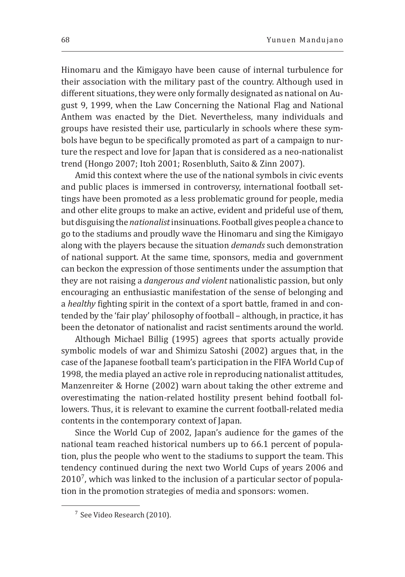Hinomaru and the Kimigayo have been cause of internal turbulence for their association with the military past of the country. Although used in different situations, they were only formally designated as national on August 9, 1999, when the Law Concerning the National Flag and National Anthem was enacted by the Diet. Nevertheless, many individuals and groups have resisted their use, particularly in schools where these symbols have begun to be specifically promoted as part of a campaign to nurture the respect and love for Japan that is considered as a neo-nationalist trend (Hongo 2007; Itoh 2001; Rosenbluth, Saito & Zinn 2007).

Amid this context where the use of the national symbols in civic events and public places is immersed in controversy, international football settings have been promoted as a less problematic ground for people, media and other elite groups to make an active, evident and prideful use of them, butdisguising the *nationalist* insinuations. Football gives people a chance to go to the stadiums and proudly wave the Hinomaru and sing the Kimigayo along with the players because the situation *demands* such demonstration of national support. At the same time, sponsors, media and government can beckon the expression of those sentiments under the assumption that they are not raising a *dangerous and violent* nationalistic passion, but only encouraging an enthusiastic manifestation of the sense of belonging and a *healthy* fighting spirit in the context of a sport battle, framed in and contended by the 'fair play' philosophy of football – although, in practice, it has been the detonator of nationalist and racist sentiments around the world.

Although Michael Billig (1995) agrees that sports actually provide symbolic models of war and Shimizu Satoshi (2002) argues that, in the case of the Japanese football team's participation in the FIFA World Cup of 1998, the media played an active role in reproducing nationalist attitudes, Manzenreiter & Horne (2002) warn about taking the other extreme and overestimating the nation-related hostility present behind football followers. Thus, it is relevant to examine the current football-related media contents in the contemporary context of Japan.

Since the World Cup of 2002, Japan's audience for the games of the national team reached historical numbers up to 66.1 percent of population, plus the people who went to the stadiums to support the team. This tendency continued during the next two World Cups of years 2006 and  $2010<sup>7</sup>$ , which was linked to the inclusion of a particular sector of population in the promotion strategies of media and sponsors: women.

<sup>7</sup> See Video Research (2010).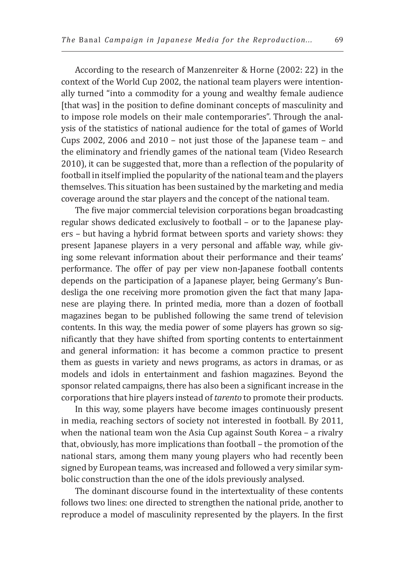According to the research of Manzenreiter & Horne (2002: 22) in the context of the World Cup 2002, the national team players were intentionally turned "into a commodity for a young and wealthy female audience [that was] in the position to define dominant concepts of masculinity and to impose role models on their male contemporaries". Through the analysis of the statistics of national audience for the total of games of World Cups 2002, 2006 and 2010 – not just those of the Japanese team – and the eliminatory and friendly games of the national team (Video Research 2010), it can be suggested that, more than a reflection of the popularity of football in itself implied the popularity of the national team and the players themselves. This situation has been sustained by the marketing and media coverage around the star players and the concept of the national team.

The five major commercial television corporations began broadcasting regular shows dedicated exclusively to football – or to the Japanese players – but having a hybrid format between sports and variety shows: they present Japanese players in a very personal and affable way, while giving some relevant information about their performance and their teams' performance. The offer of pay per view non-Japanese football contents depends on the participation of a Japanese player, being Germany's Bundesliga the one receiving more promotion given the fact that many Japanese are playing there. In printed media, more than a dozen of football magazines began to be published following the same trend of television contents. In this way, the media power of some players has grown so significantly that they have shifted from sporting contents to entertainment and general information: it has become a common practice to present them as guests in variety and news programs, as actors in dramas, or as models and idols in entertainment and fashion magazines. Beyond the sponsor related campaigns, there has also been a significant increase in the corporations that hire players instead of *tarento* to promote their products.

In this way, some players have become images continuously present in media, reaching sectors of society not interested in football. By 2011, when the national team won the Asia Cup against South Korea - a rivalry that, obviously, has more implications than football – the promotion of the national stars, among them many young players who had recently been signed by European teams, was increased and followed a very similar symbolic construction than the one of the idols previously analysed.

The dominant discourse found in the intertextuality of these contents follows two lines: one directed to strengthen the national pride, another to reproduce a model of masculinity represented by the players. In the first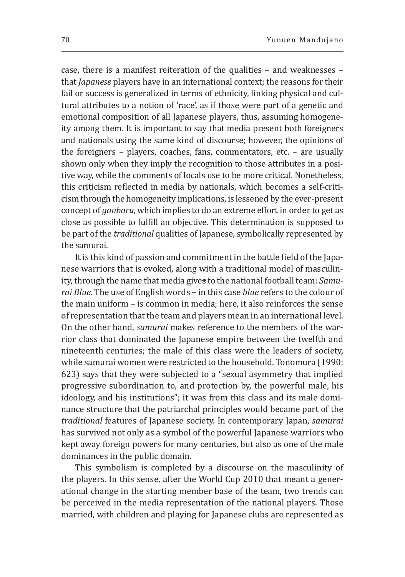case, there is a manifest reiteration of the qualities – and weaknesses – that *Japanese* players have in an international context; the reasons for their fail or success is generalized in terms of ethnicity, linking physical and cultural attributes to a notion of 'race', as if those were part of a genetic and emotional composition of all Japanese players, thus, assuming homogeneity among them. It is important to say that media present both foreigners and nationals using the same kind of discourse; however, the opinions of the foreigners – players, coaches, fans, commentators, etc. – are usually shown only when they imply the recognition to those attributes in a positive way, while the comments of locals use to be more critical. Nonetheless, this criticism reflected in media by nationals, which becomes a self-criticism through the homogeneity implications, is lessened by the ever-present concept of *ganbaru*, which implies to do an extreme effort in order to get as close as possible to fulfill an objective. This determination is supposed to be part of the *traditional* qualities of Japanese, symbolically represented by the samurai.

It is this kind of passion and commitment in the battle field of the Japanese warriors that is evoked, along with a traditional model of masculinity, through the name that media gives to the national football team: *Samurai Blue.* The use of English words – in this case *blue* refers to the colour of the main uniform – is common in media; here, it also reinforces the sense of representation that the team and players mean in an international level. On the other hand, *samurai* makes reference to the members of the warrior class that dominated the Japanese empire between the twelfth and nineteenth centuries; the male of this class were the leaders of society, while samurai women were restricted to the household. Tonomura (1990: 623) says that they were subjected to a "sexual asymmetry that implied progressive subordination to, and protection by, the powerful male, his ideology, and his institutions"; it was from this class and its male dominance structure that the patriarchal principles would became part of the *traditional* features of Japanese society. In contemporary Japan, *samurai*  has survived not only as a symbol of the powerful Japanese warriors who kept away foreign powers for many centuries, but also as one of the male dominances in the public domain.

This symbolism is completed by a discourse on the masculinity of the players. In this sense, after the World Cup 2010 that meant a generational change in the starting member base of the team, two trends can be perceived in the media representation of the national players. Those married, with children and playing for Japanese clubs are represented as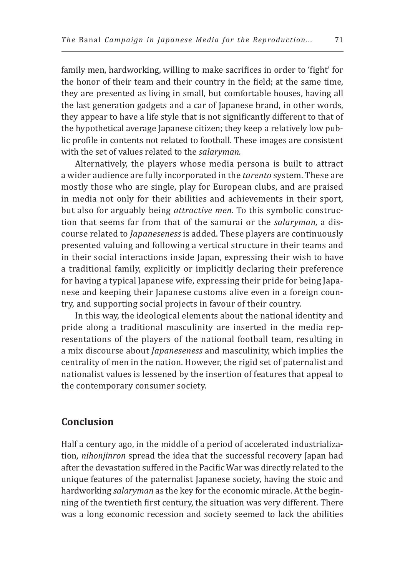family men, hardworking, willing to make sacrifices in order to 'fight' for the honor of their team and their country in the field; at the same time, they are presented as living in small, but comfortable houses, having all the last generation gadgets and a car of Japanese brand, in other words, they appear to have a life style that is not significantly different to that of the hypothetical average Japanese citizen; they keep a relatively low public profile in contents not related to football. These images are consistent with the set of values related to the *salaryman.* 

Alternatively, the players whose media persona is built to attract a wider audience are fully incorporated in the *tarento* system. These are mostly those who are single, play for European clubs, and are praised in media not only for their abilities and achievements in their sport, but also for arguably being *attractive men.* To this symbolic construction that seems far from that of the samurai or the *salaryman,* a discourse related to *Japaneseness* is added. These players are continuously presented valuing and following a vertical structure in their teams and in their social interactions inside Japan, expressing their wish to have a traditional family, explicitly or implicitly declaring their preference for having a typical Japanese wife, expressing their pride for being Japanese and keeping their Japanese customs alive even in a foreign country, and supporting social projects in favour of their country.

In this way, the ideological elements about the national identity and pride along a traditional masculinity are inserted in the media representations of the players of the national football team, resulting in a mix discourse about *Japaneseness* and masculinity, which implies the centrality of men in the nation. However, the rigid set of paternalist and nationalist values is lessened by the insertion of features that appeal to the contemporary consumer society.

### **Conclusion**

Half a century ago, in the middle of a period of accelerated industrialization, *nihonjinron* spread the idea that the successful recovery Japan had after the devastation suffered in the Pacific War was directly related to the unique features of the paternalist Japanese society, having the stoic and hardworking *salaryman* as the key for the economic miracle. At the beginning of the twentieth first century, the situation was very different. There was a long economic recession and society seemed to lack the abilities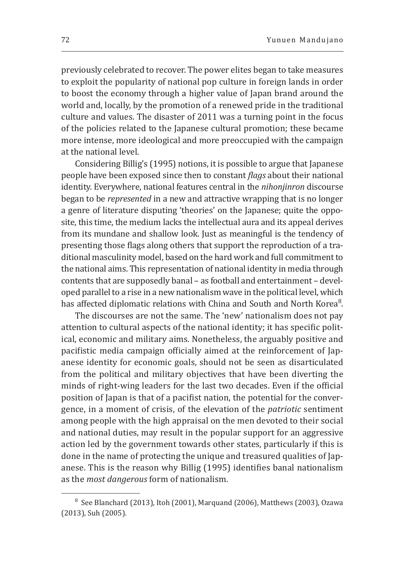previously celebrated to recover. The power elites began to take measures to exploit the popularity of national pop culture in foreign lands in order to boost the economy through a higher value of Japan brand around the world and, locally, by the promotion of a renewed pride in the traditional culture and values. The disaster of 2011 was a turning point in the focus of the policies related to the Japanese cultural promotion; these became more intense, more ideological and more preoccupied with the campaign at the national level.

Considering Billig's (1995) notions, it is possible to argue that Japanese people have been exposed since then to constant *flags* about their national identity. Everywhere, national features central in the *nihonjinron* discourse began to be *represented* in a new and attractive wrapping that is no longer a genre of literature disputing 'theories' on the Japanese; quite the opposite, this time, the medium lacks the intellectual aura and its appeal derives from its mundane and shallow look. Just as meaningful is the tendency of presenting those flags along others that support the reproduction of a traditional masculinity model, based on the hard work and full commitment to the national aims. This representation of national identity in media through contents that are supposedly banal – as football and entertainment – developed parallel to a rise in a new nationalism wave in the political level, which has affected diplomatic relations with China and South and North Korea<sup>8</sup>.

The discourses are not the same. The 'new' nationalism does not pay attention to cultural aspects of the national identity; it has specific political, economic and military aims. Nonetheless, the arguably positive and pacifistic media campaign officially aimed at the reinforcement of Japanese identity for economic goals, should not be seen as disarticulated from the political and military objectives that have been diverting the minds of right-wing leaders for the last two decades. Even if the official position of Japan is that of a pacifist nation, the potential for the convergence, in a moment of crisis, of the elevation of the *patriotic* sentiment among people with the high appraisal on the men devoted to their social and national duties, may result in the popular support for an aggressive action led by the government towards other states, particularly if this is done in the name of protecting the unique and treasured qualities of Japanese. This is the reason why Billig (1995) identifies banal nationalism as the *most dangerous* form of nationalism.

<sup>8</sup> See Blanchard (2013), Itoh (2001), Marquand (2006), Matthews (2003), Ozawa (2013), Suh (2005).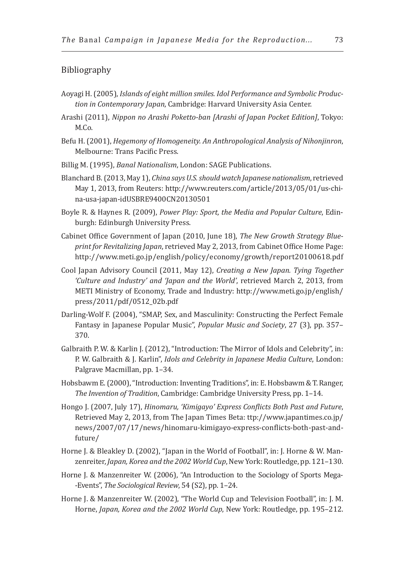#### Bibliography

- Aoyagi H. (2005), *Islands of eight million smiles. Idol Performance and Symbolic Production in Contemporary Japan*, Cambridge: Harvard University Asia Center.
- Arashi (2011), *Nippon no Arashi Poketto-ban [Arashi of Japan Pocket Edition]*, Tokyo: M.Co.
- Befu H. (2001), *Hegemony of Homogeneity. An Anthropological Analysis of Nihonjinron*, Melbourne: Trans Pacific Press.
- Billig M. (1995), *Banal Nationalism*, London: SAGE Publications.
- Blanchard B. (2013, May 1), *China says U.S. should watch Japanese nationalism*, retrieved May 1, 2013, from Reuters: http://www.reuters.com/article/2013/05/01/us-china-usa-japan-idUSBRE9400CN20130501
- Boyle R. & Haynes R. (2009), *Power Play: Sport, the Media and Popular Culture*, Edinburgh: Edinburgh University Press.
- Cabinet Office Government of Japan (2010, June 18), *The New Growth Strategy Blueprint for Revitalizing Japan*, retrieved May 2, 2013, from Cabinet Office Home Page: http://www.meti.go.jp/english/policy/economy/growth/report20100618.pdf
- Cool Japan Advisory Council (2011, May 12), *Creating a New Japan. Tying Together 'Culture and Industry' and 'Japan and the World'*, retrieved March 2, 2013, from METI Ministry of Economy, Trade and Industry: http://www.meti.go.jp/english/ press/2011/pdf/0512\_02b.pdf
- Darling-Wolf F. (2004), "SMAP, Sex, and Masculinity: Constructing the Perfect Female Fantasy in Japanese Popular Music", *Popular Music and Society*, 27 (3), pp. 357– 370.
- Galbraith P. W. & Karlin J. (2012), "Introduction: The Mirror of Idols and Celebrity", in: P. W. Galbraith & J. Karlin", *Idols and Celebrity in Japanese Media Culture*, London: Palgrave Macmillan, pp. 1–34.
- Hobsbawm E. (2000), "Introduction: Inventing Traditions", in: E. Hobsbawm & T. Ranger, *The Invention of Tradition*, Cambridge: Cambridge University Press, pp. 1–14.
- Hongo J. (2007, July 17), *Hinomaru, 'Kimigayo' Express Conflicts Both Past and Future*, Retrieved May 2, 2013, from The Japan Times Beta: ttp://www.japantimes.co.jp/ news/2007/07/17/news/hinomaru-kimigayo-express-conflicts-both-past-andfuture/
- Horne J. & Bleakley D. (2002), "Japan in the World of Football", in: J. Horne & W. Manzenreiter, *Japan, Korea and the 2002 World Cup*, New York: Routledge, pp. 121–130.
- Horne J. & Manzenreiter W. (2006), "An Introduction to the Sociology of Sports Mega- -Events", *The Sociological Review*, 54 (S2), pp. 1–24.
- Horne J. & Manzenreiter W. (2002), "The World Cup and Television Football", in: J. M. Horne, *Japan, Korea and the 2002 World Cup*, New York: Routledge, pp. 195–212.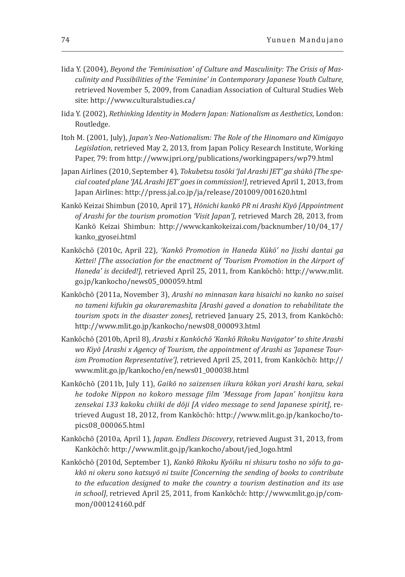- Iida Y. (2004), *Beyond the 'Feminisation' of Culture and Masculinity: The Crisis of Masculinity and Possibilities of the 'Feminine' in Contemporary Japanese Youth Culture*, retrieved November 5, 2009, from Canadian Association of Cultural Studies Web site: http://www.culturalstudies.ca/
- Iida Y. (2002), *Rethinking Identity in Modern Japan: Nationalism as Aesthetics*, London: Routledge.
- Itoh M. (2001, July), *Japan's Neo-Nationalism: The Role of the Hinomaro and Kimigayo Legislation*, retrieved May 2, 2013, from Japan Policy Research Institute, Working Paper, 79: from http://www.jpri.org/publications/workingpapers/wp79.html
- Japan Airlines (2010, September 4), *Tokubetsu tosōki 'Jal Arashi JET' ga shūkō [The special coated plane 'JAL Arashi JET' goes in commission!]*, retrieved April 1, 2013, from Japan Airlines: http://press.jal.co.jp/ja/release/201009/001620.html
- Kankō Keizai Shimbun (2010, April 17), *Hōnichi kankō PR ni Arashi Kiyō [Appointment of Arashi for the tourism promotion 'Visit Japan']*, retrieved March 28, 2013, from Kankō Keizai Shimbun: http://www.kankokeizai.com/backnumber/10/04\_17/ kanko\_gyosei.html
- Kankōchō (2010c, April 22), *'Kankō Promotion in Haneda Kūkō' no Jisshi dantai ga Kettei! [The association for the enactment of 'Tourism Promotion in the Airport of Haneda' is decided!]*, retrieved April 25, 2011, from Kankōchō: http://www.mlit. go.jp/kankocho/news05\_000059.html
- Kankōchō (2011a, November 3), *Arashi no minnasan kara hisaichi no kanko no saisei no tameni kifukin ga okuraremashita [Arashi gaved a donation to rehabilitate the tourism spots in the disaster zones]*, retrieved January 25, 2013, from Kankōchō: http://www.mlit.go.jp/kankocho/news08\_000093.html
- Kankōchō (2010b, April 8), *Arashi x Kankōchō 'Kankō Rikoku Navigator' to shite Arashi*  wo Kiyō [Arashi x Agency of Tourism, the appointment of Arashi as 'Japanese Tour*ism Promotion Representative']*, retrieved April 25, 2011, from Kankōchō: http:// www.mlit.go.jp/kankocho/en/news01\_000038.html
- Kankōchō (2011b, July 11), *Gaikō no saizensen iikura kōkan yori Arashi kara, sekai he todoke Nippon no kokoro message film 'Message from Japan' honjitsu kara zensekai 133 kakoku chiiki de dōji [A video message to send Japanese spirit]*, retrieved August 18, 2012, from Kankōchō: http://www.mlit.go.jp/kankocho/topics08\_000065.html
- Kankōchō (2010a, April 1), *Japan. Endless Discovery*, retrieved August 31, 2013, from Kankōchō: http://www.mlit.go.jp/kankocho/about/jed\_logo.html
- Kankōchō (2010d, September 1), *Kankō Rikoku Kyōiku ni shisuru tosho no sōfu to gakkō ni okeru sono katsuyō ni tsuite [Concerning the sending of books to contribute to the education designed to make the country a tourism destination and its use in school]*, retrieved April 25, 2011, from Kankōchō: http://www.mlit.go.jp/common/000124160.pdf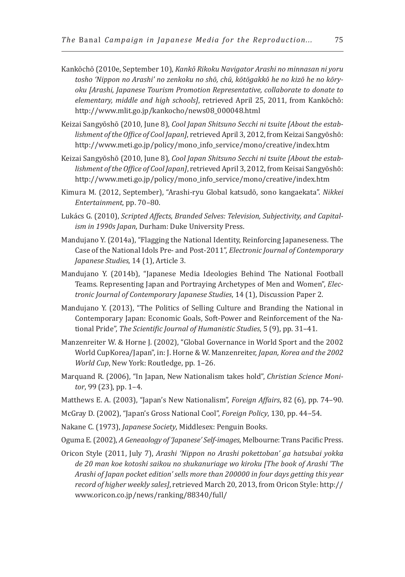- Kankōchō (2010e, September 10), *Kankō Rikoku Navigator Arashi no minnasan ni yoru tosho 'Nippon no Arashi' no zenkoku no shō, chū, kōtōgakkō he no kizō he no kōryoku [Arashi, Japanese Tourism Promotion Representative, collaborate to donate to elementary, middle and high schools]*, retrieved April 25, 2011, from Kankōchō: http://www.mlit.go.jp/kankocho/news08\_000048.html
- Keizai Sangyōshō (2010, June 8), *Cool Japan Shitsuno Secchi ni tsuite [About the establishment of the Office of Cool Japan]*, retrieved April 3, 2012, from Keizai Sangyōshō: http://www.meti.go.jp/policy/mono\_info\_service/mono/creative/index.htm
- Keizai Sangyōshō (2010, June 8), *Cool Japan Shitsuno Secchi ni tsuite [About the establishment of the Office of Cool Japan]*, retrieved April 3, 2012, from Keisai Sangyōshō: http://www.meti.go.jp/policy/mono\_info\_service/mono/creative/index.htm
- Kimura M. (2012, September), "Arashi-ryu Global katsudō, sono kangaekata". *Nikkei Entertainment*, pp. 70–80.
- Lukács G. (2010), *Scripted Affects, Branded Selves: Television, Subjectivity, and Capitalism in 1990s Japan*, Durham: Duke University Press.
- Mandujano Y. (2014a), "Flagging the National Identity, Reinforcing Japaneseness. The Case of the National Idols Pre- and Post-2011", *Electronic Journal of Contemporary Japanese Studies*, 14 (1), Article 3.
- Mandujano Y. (2014b), "Japanese Media Ideologies Behind The National Football Teams. Representing Japan and Portraying Archetypes of Men and Women", *Electronic Journal of Contemporary Japanese Studies*, 14 (1), Discussion Paper 2.
- Mandujano Y. (2013), "The Politics of Selling Culture and Branding the National in Contemporary Japan: Economic Goals, Soft-Power and Reinforcement of the National Pride", *The Scientific Journal of Humanistic Studies*, 5 (9), pp. 31–41.
- Manzenreiter W. & Horne J. (2002), "Global Governance in World Sport and the 2002 World CupKorea/Japan", in: J. Horne & W. Manzenreiter, *Japan, Korea and the 2002 World Cup*, New York: Routledge, pp. 1–26.
- Marquand R. (2006), "In Japan, New Nationalism takes hold", *Christian Science Monitor*, 99 (23), pp. 1–4.
- Matthews E. A. (2003), "Japan's New Nationalism", *Foreign Affairs*, 82 (6), pp. 74–90.
- McGray D. (2002), "Japan's Gross National Cool", *Foreign Policy*, 130, pp. 44–54.
- Nakane C. (1973), *Japanese Society*, Middlesex: Penguin Books.
- Oguma E. (2002), *A Geneaology of 'Japanese' Self-images*, Melbourne: Trans Pacific Press.
- Oricon Style (2011, July 7), *Arashi 'Nippon no Arashi pokettoban' ga hatsubai yokka de 20 man koe kotoshi saikou no shukanuriage wo kiroku [The book of Arashi 'The Arashi of Japan pocket edition' sells more than 200000 in four days getting this year record of higher weekly sales]*, retrieved March 20, 2013, from Oricon Style: http:// www.oricon.co.jp/news/ranking/88340/full/